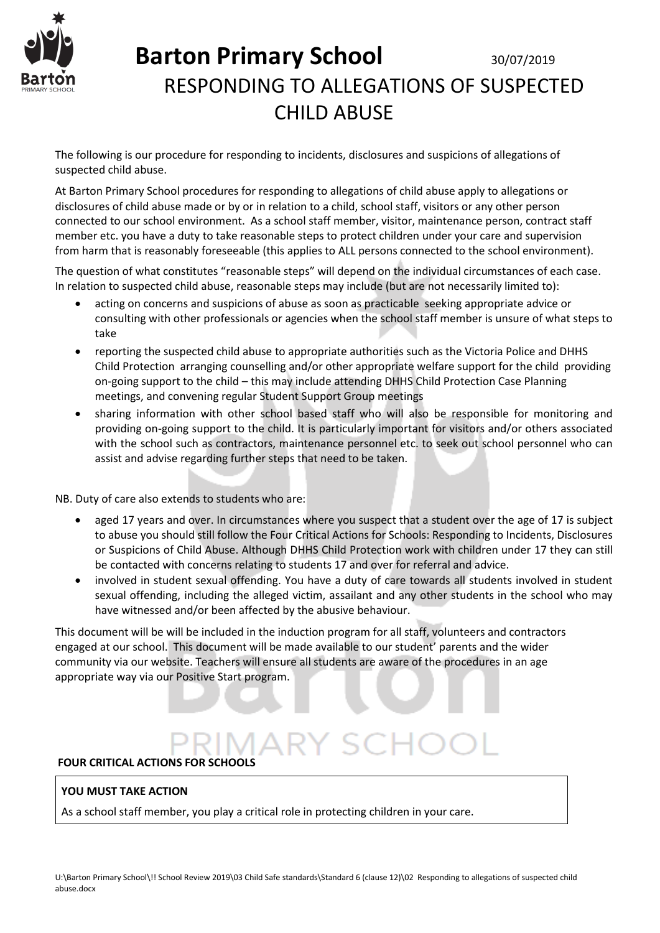

The following is our procedure for responding to incidents, disclosures and suspicions of allegations of suspected child abuse.

At Barton Primary School procedures for responding to allegations of child abuse apply to allegations or disclosures of child abuse made or by or in relation to a child, school staff, visitors or any other person connected to our school environment. As a school staff member, visitor, maintenance person, contract staff member etc. you have a duty to take reasonable steps to protect children under your care and supervision from harm that is reasonably foreseeable (this applies to ALL persons connected to the school environment).

The question of what constitutes "reasonable steps" will depend on the individual circumstances of each case. In relation to suspected child abuse, reasonable steps may include (but are not necessarily limited to):

- acting on concerns and suspicions of abuse as soon as practicable seeking appropriate advice or consulting with other professionals or agencies when the school staff member is unsure of what steps to take
- reporting the suspected child abuse to appropriate authorities such as the Victoria Police and DHHS Child Protection arranging counselling and/or other appropriate welfare support for the child providing on-going support to the child – this may include attending DHHS Child Protection Case Planning meetings, and convening regular Student Support Group meetings
- sharing information with other school based staff who will also be responsible for monitoring and providing on-going support to the child. It is particularly important for visitors and/or others associated with the school such as contractors, maintenance personnel etc. to seek out school personnel who can assist and advise regarding further steps that need to be taken.

NB. Duty of care also extends to students who are:

- aged 17 years and over. In circumstances where you suspect that a student over the age of 17 is subject to abuse you should still follow the Four Critical Actions for Schools: Responding to Incidents, Disclosures or Suspicions of Child Abuse. Although DHHS Child Protection work with children under 17 they can still be contacted with concerns relating to students 17 and over for referral and advice.
- involved in student sexual offending. You have a duty of care towards all students involved in student sexual offending, including the alleged victim, assailant and any other students in the school who may have witnessed and/or been affected by the abusive behaviour.

This document will be will be included in the induction program for all staff, volunteers and contractors engaged at our school. This document will be made available to our student' parents and the wider community via our website. Teachers will ensure all students are aware of the procedures in an age appropriate way via our Positive Start program.

### **FOUR CRITICAL ACTIONS FOR SCHOOLS**

### **YOU MUST TAKE ACTION**

As a school staff member, you play a critical role in protecting children in your care.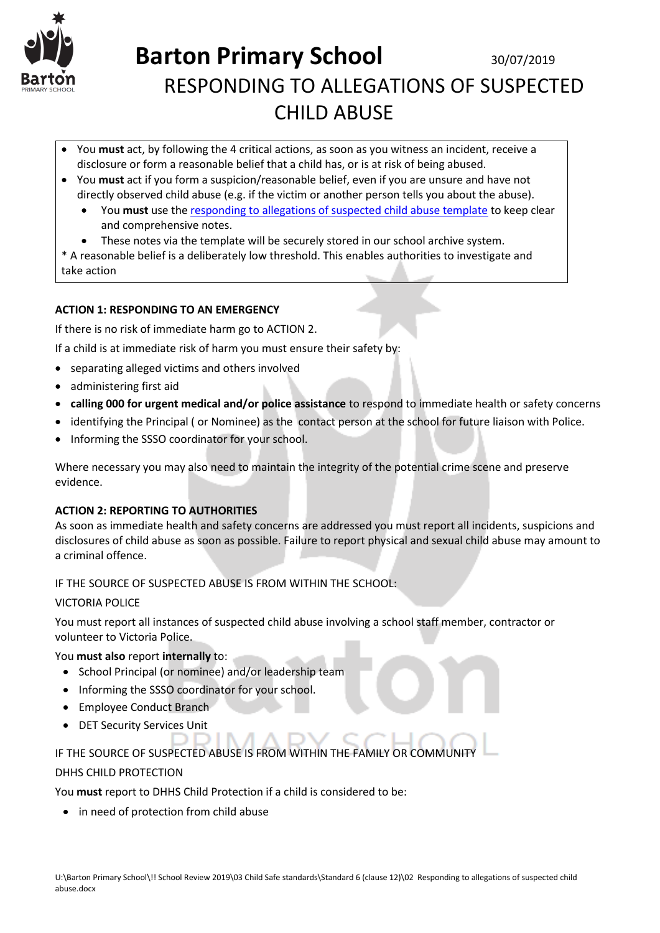

- You **must** act, by following the 4 critical actions, as soon as you witness an incident, receive a disclosure or form a reasonable belief that a child has, or is at risk of being abused.
- You **must** act if you form a suspicion/reasonable belief, even if you are unsure and have not directly observed child abuse (e.g. if the victim or another person tells you about the abuse).
	- You **must** use th[e responding to allegations of suspected child abuse template](http://www.education.vic.gov.au/Documents/about/programs/health/protect/PROTECT_Responding_TemplateSchools.docx) to keep clear and comprehensive notes.
	- These notes via the template will be securely stored in our school archive system.

\* A reasonable belief is a deliberately low threshold. This enables authorities to investigate and take action

### **ACTION 1: RESPONDING TO AN EMERGENCY**

If there is no risk of immediate harm go to ACTION 2.

If a child is at immediate risk of harm you must ensure their safety by:

- separating alleged victims and others involved
- administering first aid
- **calling 000 for urgent medical and/or police assistance** to respond to immediate health or safety concerns
- identifying the Principal ( or Nominee) as the contact person at the school for future liaison with Police.
- Informing the SSSO coordinator for your school.

Where necessary you may also need to maintain the integrity of the potential crime scene and preserve evidence.

#### **ACTION 2: REPORTING TO AUTHORITIES**

As soon as immediate health and safety concerns are addressed you must report all incidents, suspicions and disclosures of child abuse as soon as possible. Failure to report physical and sexual child abuse may amount to a criminal offence.

IF THE SOURCE OF SUSPECTED ABUSE IS FROM WITHIN THE SCHOOL:

#### VICTORIA POLICE

You must report all instances of suspected child abuse involving a school staff member, contractor or volunteer to Victoria Police.

#### You **must also** report **internally** to:

- School Principal (or nominee) and/or leadership team
- Informing the SSSO coordinator for your school.
- Employee Conduct Branch
- DET Security Services Unit

### IF THE SOURCE OF SUSPECTED ABUSE IS FROM WITHIN THE FAMILY OR COMMUNITY

### DHHS CHILD PROTECTION

You **must** report to DHHS Child Protection if a child is considered to be:

• in need of protection from child abuse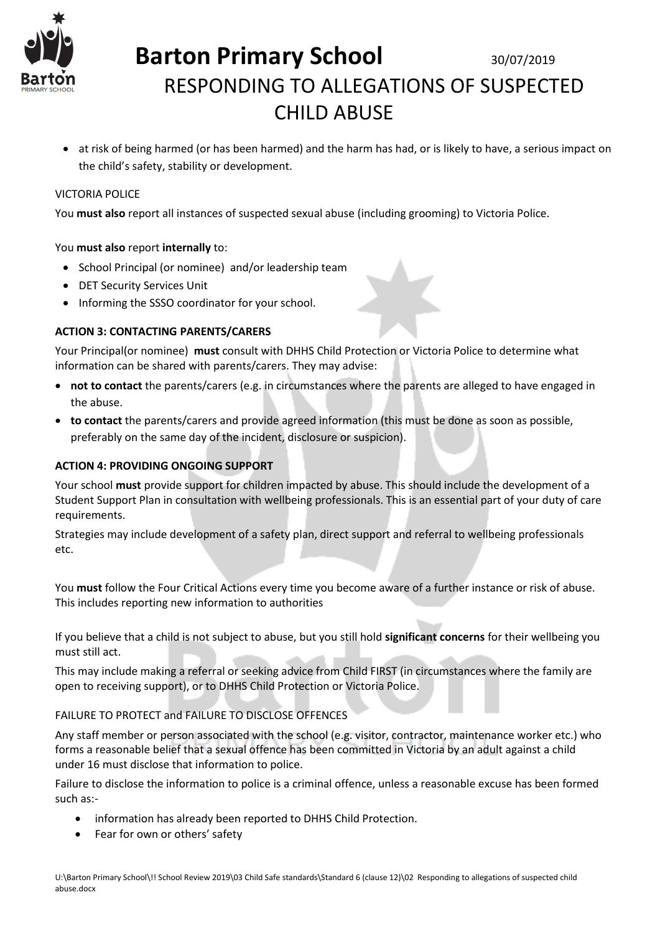

 at risk of being harmed (or has been harmed) and the harm has had, or is likely to have, a serious impact on the child's safety, stability or development.

#### VICTORIA POLICE

You **must also** report all instances of suspected sexual abuse (including grooming) to Victoria Police.

#### You **must also** report **internally** to:

- School Principal (or nominee) and/or leadership team
- DET Security Services Unit
- Informing the SSSO coordinator for your school.

#### **ACTION 3: CONTACTING PARENTS/CARERS**

Your Principal(or nominee) **must** consult with DHHS Child Protection or Victoria Police to determine what information can be shared with parents/carers. They may advise:

- **not to contact** the parents/carers (e.g. in circumstances where the parents are alleged to have engaged in the abuse.
- **to contact** the parents/carers and provide agreed information (this must be done as soon as possible, preferably on the same day of the incident, disclosure or suspicion).

#### **ACTION 4: PROVIDING ONGOING SUPPORT**

Your school **must** provide support for children impacted by abuse. This should include the development of a Student Support Plan in consultation with wellbeing professionals. This is an essential part of your duty of care requirements.

Strategies may include development of a safety plan, direct support and referral to wellbeing professionals etc.

You **must** follow the Four Critical Actions every time you become aware of a further instance or risk of abuse. This includes reporting new information to authorities

If you believe that a child is not subject to abuse, but you still hold **significant concerns** for their wellbeing you must still act.

This may include making a referral or seeking advice from Child FIRST (in circumstances where the family are open to receiving support), or to DHHS Child Protection or Victoria Police.

#### FAILURE TO PROTECT and FAILURE TO DISCLOSE OFFENCES

Any staff member or person associated with the school (e.g. visitor, contractor, maintenance worker etc.) who forms a reasonable belief that a sexual offence has been committed in Victoria by an adult against a child under 16 must disclose that information to police.

Failure to disclose the information to police is a criminal offence, unless a reasonable excuse has been formed such as:-

- information has already been reported to DHHS Child Protection.
- Fear for own or others' safety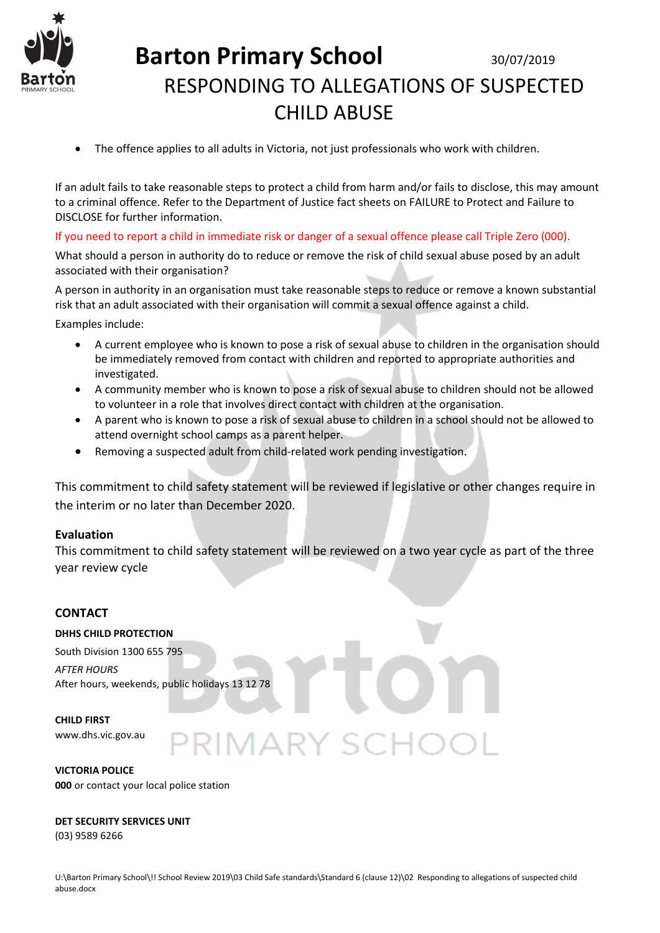

The offence applies to all adults in Victoria, not just professionals who work with children.

If an adult fails to take reasonable steps to protect a child from harm and/or fails to disclose, this may amount to a criminal offence. Refer to the Department of Justice fact sheets on [FAILURE to Protect](http://assets.justice.vic.gov.au/justice/resources/790183f8-3ad0-41c4-bbc4-08d9a0bd8618/failure+to+protect+-+version+1.0.doc) an[d Failure to](http://assets.justice.vic.gov.au/justice/resources/ea484f74-feb7-400e-ad68-9bd0be8e2a40/failure+to+disclose.pdf)  [DISCLOSE](http://assets.justice.vic.gov.au/justice/resources/ea484f74-feb7-400e-ad68-9bd0be8e2a40/failure+to+disclose.pdf) for further information.

If you need to report a child in immediate risk or danger of a sexual offence please call Triple Zero (000).

What should a person in authority do to reduce or remove the risk of child sexual abuse posed by an adult associated with their organisation?

A person in authority in an organisation must take reasonable steps to reduce or remove a known substantial risk that an adult associated with their organisation will commit a sexual offence against a child.

Examples include:

- A current employee who is known to pose a risk of sexual abuse to children in the organisation should be immediately removed from contact with children and reported to appropriate authorities and investigated.
- A community member who is known to pose a risk of sexual abuse to children should not be allowed to volunteer in a role that involves direct contact with children at the organisation.
- A parent who is known to pose a risk of sexual abuse to children in a school should not be allowed to attend overnight school camps as a parent helper.
- Removing a suspected adult from child-related work pending investigation.

This commitment to child safety statement will be reviewed if legislative or other changes require in the interim or no later than December 2020.

#### **Evaluation**

This commitment to child safety statement will be reviewed on a two year cycle as part of the three year review cycle

### **CONTACT**

#### **DHHS CHILD PROTECTION**

South Division 1300 655 795 *AFTER HOURS*  After hours, weekends, public holidays 13 12 78

#### **CHILD FIRST**

www.dhs.vic.gov.au

**VICTORIA POLICE 000** or contact your local police station

#### **DET SECURITY SERVICES UNIT**

(03) 9589 6266

**MARY SC**